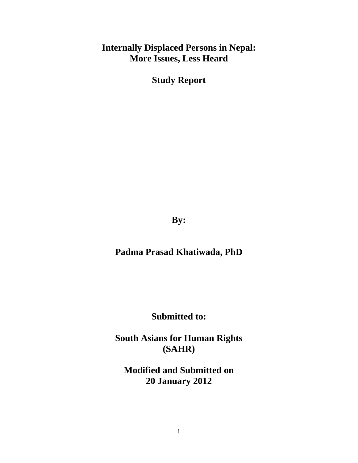# **Internally Displaced Persons in Nepal: More Issues, Less Heard**

**Study Report** 

**By:** 

**Padma Prasad Khatiwada, PhD** 

**Submitted to:** 

**South Asians for Human Rights (SAHR)** 

**Modified and Submitted on 20 January 2012**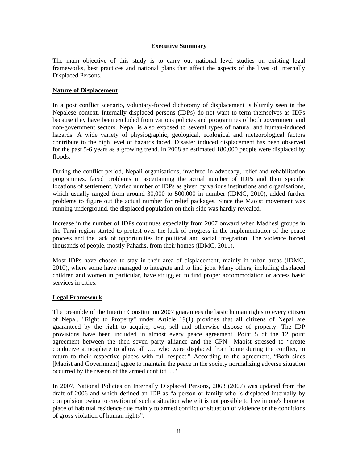#### **Executive Summary**

The main objective of this study is to carry out national level studies on existing legal frameworks, best practices and national plans that affect the aspects of the lives of Internally Displaced Persons.

#### **Nature of Displacement**

In a post conflict scenario, voluntary-forced dichotomy of displacement is blurrily seen in the Nepalese context. Internally displaced persons (IDPs) do not want to term themselves as IDPs because they have been excluded from various policies and programmes of both government and non-government sectors. Nepal is also exposed to several types of natural and human-induced hazards. A wide variety of physiographic, geological, ecological and meteorological factors contribute to the high level of hazards faced. Disaster induced displacement has been observed for the past 5-6 years as a growing trend. In 2008 an estimated 180,000 people were displaced by floods.

During the conflict period, Nepali organisations, involved in advocacy, relief and rehabilitation programmes, faced problems in ascertaining the actual number of IDPs and their specific locations of settlement. Varied number of IDPs as given by various institutions and organisations, which usually ranged from around 30,000 to 500,000 in number (IDMC, 2010), added further problems to figure out the actual number for relief packages. Since the Maoist movement was running underground, the displaced population on their side was hardly revealed.

Increase in the number of IDPs continues especially from 2007 onward when Madhesi groups in the Tarai region started to protest over the lack of progress in the implementation of the peace process and the lack of opportunities for political and social integration. The violence forced thousands of people, mostly Pahadis, from their homes (IDMC, 2011).

Most IDPs have chosen to stay in their area of displacement, mainly in urban areas (IDMC, 2010), where some have managed to integrate and to find jobs. Many others, including displaced children and women in particular, have struggled to find proper accommodation or access basic services in cities.

#### **Legal Framework**

The preamble of the Interim Constitution 2007 guarantees the basic human rights to every citizen of Nepal. "Right to Property" under Article 19(1) provides that all citizens of Nepal are guaranteed by the right to acquire, own, sell and otherwise dispose of property. The IDP provisions have been included in almost every peace agreement. Point 5 of the 12 point agreement between the then seven party alliance and the CPN –Maoist stressed to "create conducive atmosphere to allow all …, who were displaced from home during the conflict, to return to their respective places with full respect." According to the agreement, "Both sides [Maoist and Government] agree to maintain the peace in the society normalizing adverse situation occurred by the reason of the armed conflict... ."

In 2007, National Policies on Internally Displaced Persons, 2063 (2007) was updated from the draft of 2006 and which defined an IDP as "a person or family who is displaced internally by compulsion owing to creation of such a situation where it is not possible to live in one's home or place of habitual residence due mainly to armed conflict or situation of violence or the conditions of gross violation of human rights".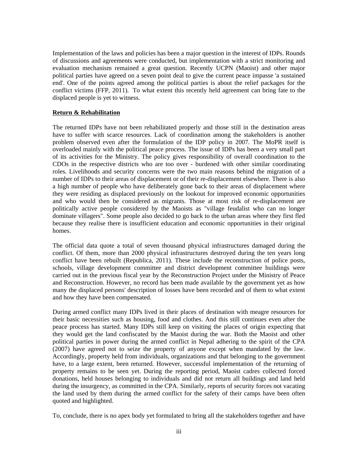Implementation of the laws and policies has been a major question in the interest of IDPs. Rounds of discussions and agreements were conducted, but implementation with a strict monitoring and evaluation mechanism remained a great question. Recently UCPN (Maoist) and other major political parties have agreed on a seven point deal to give the current peace impasse 'a sustained end'. One of the points agreed among the political parties is about the relief packages for the conflict victims (FFP, 2011). To what extent this recently held agreement can bring fate to the displaced people is yet to witness.

#### **Return & Rehabilitation**

The returned IDPs have not been rehabilitated properly and those still in the destination areas have to suffer with scarce resources. Lack of coordination among the stakeholders is another problem observed even after the formulation of the IDP policy in 2007. The MoPR itself is overloaded mainly with the political peace process. The issue of IDPs has been a very small part of its activities for the Ministry. The policy gives responsibility of overall coordination to the CDOs in the respective districts who are too over - burdened with other similar coordinating roles. Livelihoods and security concerns were the two main reasons behind the migration of a number of IDPs to their areas of displacement or of their re-displacement elsewhere. There is also a high number of people who have deliberately gone back to their areas of displacement where they were residing as displaced previously on the lookout for improved economic opportunities and who would then be considered as migrants. Those at most risk of re-displacement are politically active people considered by the Maoists as "village feudalist who can no longer dominate villagers". Some people also decided to go back to the urban areas where they first fled because they realise there is insufficient education and economic opportunities in their original homes.

The official data quote a total of seven thousand physical infrastructures damaged during the conflict. Of them, more than 2000 physical infrastructures destroyed during the ten years long conflict have been rebuilt (Republica, 2011). These include the reconstruction of police posts, schools, village development committee and district development committee buildings were carried out in the previous fiscal year by the Reconstruction Project under the Ministry of Peace and Reconstruction. However, no record has been made available by the government yet as how many the displaced persons' description of losses have been recorded and of them to what extent and how they have been compensated.

During armed conflict many IDPs lived in their places of destination with meagre resources for their basic necessities such as housing, food and clothes. And this still continues even after the peace process has started. Many IDPs still keep on visiting the places of origin expecting that they would get the land confiscated by the Maoist during the war. Both the Maoist and other political parties in power during the armed conflict in Nepal adhering to the spirit of the CPA (2007) have agreed not to seize the property of anyone except when mandated by the law. Accordingly, property held from individuals, organizations and that belonging to the government have, to a large extent, been returned. However, successful implementation of the returning of property remains to be seen yet. During the reporting period, Maoist cadres collected forced donations, held houses belonging to individuals and did not return all buildings and land held during the insurgency, as committed in the CPA. Similarly, reports of security forces not vacating the land used by them during the armed conflict for the safety of their camps have been often quoted and highlighted.

To, conclude, there is no apex body yet formulated to bring all the stakeholders together and have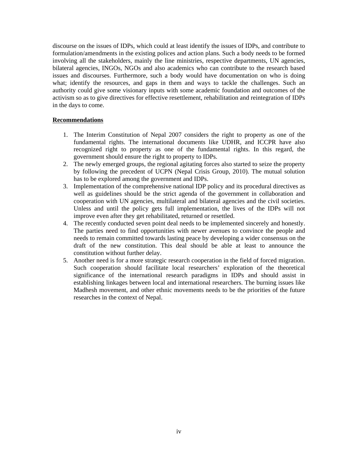discourse on the issues of IDPs, which could at least identify the issues of IDPs, and contribute to formulation/amendments in the existing polices and action plans. Such a body needs to be formed involving all the stakeholders, mainly the line ministries, respective departments, UN agencies, bilateral agencies, INGOs, NGOs and also academics who can contribute to the research based issues and discourses. Furthermore, such a body would have documentation on who is doing what; identify the resources, and gaps in them and ways to tackle the challenges. Such an authority could give some visionary inputs with some academic foundation and outcomes of the activism so as to give directives for effective resettlement, rehabilitation and reintegration of IDPs in the days to come.

#### **Recommendations**

- 1. The Interim Constitution of Nepal 2007 considers the right to property as one of the fundamental rights. The international documents like UDHR, and ICCPR have also recognized right to property as one of the fundamental rights. In this regard, the government should ensure the right to property to IDPs.
- 2. The newly emerged groups, the regional agitating forces also started to seize the property by following the precedent of UCPN (Nepal Crisis Group, 2010). The mutual solution has to be explored among the government and IDPs.
- 3. Implementation of the comprehensive national IDP policy and its procedural directives as well as guidelines should be the strict agenda of the government in collaboration and cooperation with UN agencies, multilateral and bilateral agencies and the civil societies. Unless and until the policy gets full implementation, the lives of the IDPs will not improve even after they get rehabilitated, returned or resettled.
- 4. The recently conducted seven point deal needs to be implemented sincerely and honestly. The parties need to find opportunities with newer avenues to convince the people and needs to remain committed towards lasting peace by developing a wider consensus on the draft of the new constitution. This deal should be able at least to announce the constitution without further delay.
- 5. Another need is for a more strategic research cooperation in the field of forced migration. Such cooperation should facilitate local researchers' exploration of the theoretical significance of the international research paradigms in IDPs and should assist in establishing linkages between local and international researchers. The burning issues like Madhesh movement, and other ethnic movements needs to be the priorities of the future researches in the context of Nepal.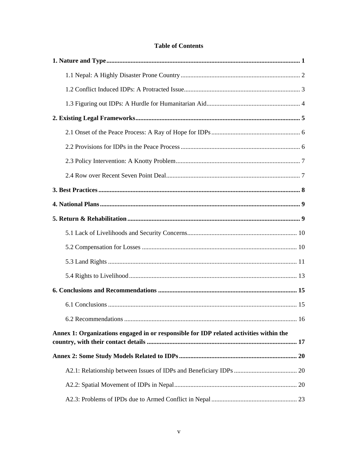### **Table of Contents**

| Annex 1: Organizations engaged in or responsible for IDP related activities within the |  |
|----------------------------------------------------------------------------------------|--|
|                                                                                        |  |
|                                                                                        |  |
|                                                                                        |  |
|                                                                                        |  |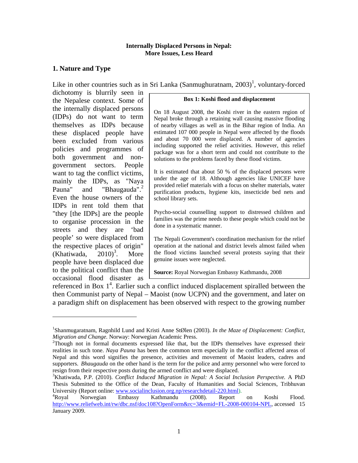#### **Internally Displaced Persons in Nepal: More Issues, Less Heard**

# **1. Nature and Type**

Like in other countries such as in Sri Lanka (Sanmughuratnam,  $2003$ )<sup>1</sup>, voluntary-forced

dichotomy is blurrily seen in the Nepalese context. Some of the internally displaced persons (IDPs) do not want to term themselves as IDPs because these displaced people have been excluded from various policies and programmes of both government and nongovernment sectors. People want to tag the conflict victims, mainly the IDPs, as "Naya Pauna" and "Bhaugauda".<sup>2</sup> Even the house owners of the IDPs in rent told them that "they [the IDPs] are the people to organise procession in the streets and they are 'bad people' so were displaced from the respective places of origin"  $(Khatiwada, 2010)^3$ . . More people have been displaced due to the political conflict than the occasional flood disaster as

 $\overline{\phantom{a}}$ 

#### **Box 1: Koshi flood and displacement**

On 18 August 2008, the Koshi river in the eastern region of Nepal broke through a retaining wall causing massive flooding of nearby villages as well as in the Bihar region of India. An estimated 107 000 people in Nepal were affected by the floods and about 70 000 were displaced. A number of agencies including supported the relief activities. However, this relief package was for a short term and could not contribute to the solutions to the problems faced by these flood victims.

It is estimated that about 50 % of the displaced persons were under the age of 18. Although agencies like UNICEF have provided relief materials with a focus on shelter materials, water purification products, hygiene kits, insecticide bed nets and school library sets.

Psycho-social counselling support to distressed children and families was the prime needs to these people which could not be done in a systematic manner.

The Nepali Government's coordination mechanism for the relief operation at the national and district levels almost failed when the flood victims launched several protests saying that their genuine issues were neglected.

**Source:** Royal Norwegian Embassy Kathmandu, 2008

referenced in Box  $1<sup>4</sup>$ . Earlier such a conflict induced displacement spiralled between the then Communist party of Nepal – Maoist (now UCPN) and the government, and later on a paradigm shift on displacement has been observed with respect to the growing number

<sup>1</sup> Shanmugaratnam, Ragnhild Lund and Kristi Anne StØlen (2003). *In the Maze of Displacement: Conflict, Migration and Change.* Norway: Norwegian Academic Press. 2

 $T$ Though not in formal documents expressed like that, but the IDPs themselves have expressed their realities in such tone. *Naya Pauna* has been the common term especially in the conflict affected areas of Nepal and this word signifies the presence, activities and movement of Maoist leaders, cadres and supporters. *Bhaugauda* on the other hand is the term for the police and army personnel who were forced to resign from their respective posts during the armed conflict and were displaced.

<sup>&</sup>lt;sup>3</sup>Khatiwada, P.P. (2010). *Conflict Induced Migration in Nepal: A Social Inclusion Perspective.* A PhD Thesis Submitted to the Office of the Dean, Faculty of Humanities and Social Sciences, Tribhuvan University (Report online: www.socialinclusion.org.np/researchdetail-220.html).<br>
<sup>4</sup>Royal Norwegian Embassy Kathmandu (2008). Report

Royal Norwegian Embassy Kathmandu (2008). Report on Koshi Flood. http://www.reliefweb.int/rw/dbc.nsf/doc108?OpenForm&rc=3&emid=FL-2008-000104-NPL, accessed 15 January 2009.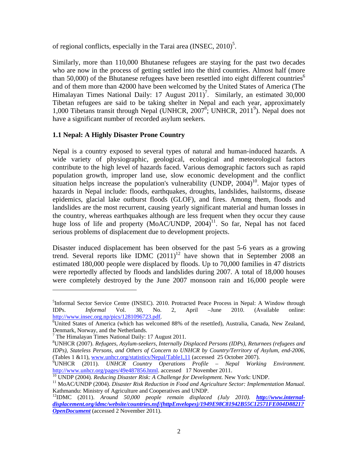of regional conflicts, especially in the Tarai area  $(INSEC, 2010)^5$ .

Similarly, more than 110,000 Bhutanese refugees are staying for the past two decades who are now in the process of getting settled into the third countries. Almost half (more than 50,000) of the Bhutanese refugees have been resettled into eight different countries<sup>6</sup> and of them more than 42000 have been welcomed by the United States of America (The Himalayan Times National Daily: 17 August  $2011$ <sup>7</sup>. Similarly, an estimated 30,000 Tibetan refugees are said to be taking shelter in Nepal and each year, approximately 1,000 Tibetans transit through Nepal (UNHCR, 2007<sup>8</sup>; UNHCR, 2011<sup>9</sup>). Nepal does not have a significant number of recorded asylum seekers.

# **1.1 Nepal: A Highly Disaster Prone Country**

Nepal is a country exposed to several types of natural and human-induced hazards. A wide variety of physiographic, geological, ecological and meteorological factors contribute to the high level of hazards faced. Various demographic factors such as rapid population growth, improper land use, slow economic development and the conflict situation helps increase the population's vulnerability (UNDP,  $2004$ )<sup>10</sup>. Major types of hazards in Nepal include: floods, earthquakes, droughts, landslides, hailstorms, disease epidemics, glacial lake outburst floods (GLOF), and fires. Among them, floods and landslides are the most recurrent, causing yearly significant material and human losses in the country, whereas earthquakes although are less frequent when they occur they cause huge loss of life and property (MoAC/UNDP,  $2004$ )<sup>11</sup>. So far, Nepal has not faced serious problems of displacement due to development projects.

Disaster induced displacement has been observed for the past 5-6 years as a growing trend. Several reports like IDMC  $(2011)^{12}$  have shown that in September 2008 an estimated 180,000 people were displaced by floods. Up to 70,000 families in 47 districts were reportedly affected by floods and landslides during 2007. A total of 18,000 houses were completely destroyed by the June 2007 monsoon rain and 16,000 people were

l

<sup>&</sup>lt;sup>5</sup>Informal Sector Service Centre (INSEC). 2010. Protracted Peace Process in Nepal: A Window through IDPs. *Informal* Vol. 30, No. 2, April –June 2010. (Available online: http://www.insec.org.np/pics/1281096723.pdf.

United States of America (which has welcomed 88% of the resettled), Australia, Canada, New Zealand, Denmark, Norway, and the Netherlands. 7

 $7$  The Himalayan Times National Daily: 17 August 2011.

<sup>8</sup> UNHCR (2007). *Refugees, Asylum-seekers, Internally Displaced Persons (IDPs), Returnees (refugees and IDPs), Stateless Persons, and Others of Concern to UNHCR by Country/Territory of Asylum, end-2006,*  (Tables 1 &11), www.unhcr.org/statistics/Nepal/Table1,11 (accessed 25 October 2007).

<sup>&</sup>lt;sup>9</sup>UNHCR (2011). *UNHCR Country Operations Profile – Nepal Working Environment.*  $\frac{\text{http://www.unher.org/pages/49e487856.html}}{^{10}}$ . With Wavester Arists: A Challenge for Development. New York: UNDP.<br><sup>10</sup> UNDP (2004). *Reducing Disaster Risk: A Challenge for Development*. New York: UNDP.<br><sup>11</sup> MoAC/UNDP (2004). *Disast* 

Kathmandu: Ministry of Agriculture and Cooperatives and UNDP.

<sup>12</sup>IDMC (2011). *Around 50,000 people remain displaced (July 2010). http://www.internaldisplacement.org/idmc/website/countries.nsf/(httpEnvelopes)/1949E98C81942B55C12571FE004D8821? OpenDocument* (accessed 2 November 2011).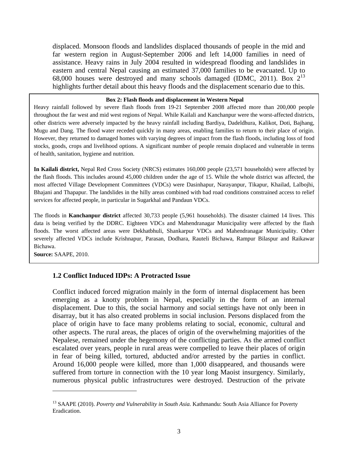displaced. Monsoon floods and landslides displaced thousands of people in the mid and far western region in August-September 2006 and left 14,000 families in need of assistance. Heavy rains in July 2004 resulted in widespread flooding and landslides in eastern and central Nepal causing an estimated 37,000 families to be evacuated. Up to 68,000 houses were destroyed and many schools damaged (IDMC, 2011). Box  $2^{13}$ highlights further detail about this heavy floods and the displacement scenario due to this.

#### **Box 2: Flash floods and displacement in Western Nepal**

Heavy rainfall followed by severe flash floods from 19-21 September 2008 affected more than 200,000 people throughout the far west and mid west regions of Nepal. While Kailali and Kanchanpur were the worst-affected districts, other districts were adversely impacted by the heavy rainfall including Bardiya, Dadeldhura, Kalikot, Doti, Bajhang, Mugu and Dang. The flood water receded quickly in many areas, enabling families to return to their place of origin. However, they returned to damaged homes with varying degrees of impact from the flash floods, including loss of food stocks, goods, crops and livelihood options. A significant number of people remain displaced and vulnerable in terms of health, sanitation, hygiene and nutrition.

**In Kailali district,** Nepal Red Cross Society (NRCS) estimates 160,000 people (23,571 households) were affected by the flash floods. This includes around 45,000 children under the age of 15. While the whole district was affected, the most affected Village Development Committees (VDCs) were Dasinhapur, Narayanpur, Tikapur, Khailad, Lalbojhi, Bhajani and Thapapur. The landslides in the hilly areas combined with bad road conditions constrained access to relief services for affected people, in particular in Sugarkhal and Pandaun VDCs.

The floods in **Kanchanpur district** affected 30,733 people (5,961 households). The disaster claimed 14 lives. This data is being verified by the DDRC. Eighteen VDCs and Mahendranagar Municipality were affected by the flash floods. The worst affected areas were Dekhatbhuli, Shankarpur VDCs and Mahendranagar Municipality. Other severely affected VDCs include Krishnapur, Parasan, Dodhara, Rauteli Bichawa, Rampur Bilaspur and Raikawar Bichawa.

**Source:** SAAPE, 2010.

l

#### **1.2 Conflict Induced IDPs: A Protracted Issue**

Conflict induced forced migration mainly in the form of internal displacement has been emerging as a knotty problem in Nepal, especially in the form of an internal displacement. Due to this, the social harmony and social settings have not only been in disarray, but it has also created problems in social inclusion. Persons displaced from the place of origin have to face many problems relating to social, economic, cultural and other aspects. The rural areas, the places of origin of the overwhelming majorities of the Nepalese, remained under the hegemony of the conflicting parties. As the armed conflict escalated over years, people in rural areas were compelled to leave their places of origin in fear of being killed, tortured, abducted and/or arrested by the parties in conflict. Around 16,000 people were killed, more than 1,000 disappeared, and thousands were suffered from torture in connection with the 10 year long Maoist insurgency. Similarly, numerous physical public infrastructures were destroyed. Destruction of the private

<sup>&</sup>lt;sup>13</sup> SAAPE (2010). *Poverty and Vulnerability in South Asia.* Kathmandu: South Asia Alliance for Poverty Eradication.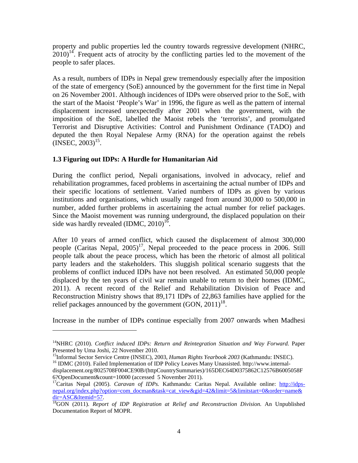property and public properties led the country towards regressive development (NHRC,  $2010$ <sup>14</sup>. Frequent acts of atrocity by the conflicting parties led to the movement of the people to safer places.

As a result, numbers of IDPs in Nepal grew tremendously especially after the imposition of the state of emergency (SoE) announced by the government for the first time in Nepal on 26 November 2001. Although incidences of IDPs were observed prior to the SoE, with the start of the Maoist 'People's War' in 1996, the figure as well as the pattern of internal displacement increased unexpectedly after 2001 when the government, with the imposition of the SoE, labelled the Maoist rebels the 'terrorists', and promulgated Terrorist and Disruptive Activities: Control and Punishment Ordinance (TADO) and deputed the then Royal Nepalese Army (RNA) for the operation against the rebels  $(INSEC, 2003)^{15}$ .

# **1.3 Figuring out IDPs: A Hurdle for Humanitarian Aid**

l

During the conflict period, Nepali organisations, involved in advocacy, relief and rehabilitation programmes, faced problems in ascertaining the actual number of IDPs and their specific locations of settlement. Varied numbers of IDPs as given by various institutions and organisations, which usually ranged from around 30,000 to 500,000 in number, added further problems in ascertaining the actual number for relief packages. Since the Maoist movement was running underground, the displaced population on their side was hardly revealed  $(IDMC, 2010)^{16}$ .

After 10 years of armed conflict, which caused the displacement of almost 300,000 people (Caritas Nepal,  $2005$ )<sup>17</sup>, Nepal proceeded to the peace process in 2006. Still people talk about the peace process, which has been the rhetoric of almost all political party leaders and the stakeholders. This sluggish political scenario suggests that the problems of conflict induced IDPs have not been resolved. An estimated 50,000 people displaced by the ten years of civil war remain unable to return to their homes (IDMC, 2011). A recent record of the Relief and Rehabilitation Division of Peace and Reconstruction Ministry shows that 89,171 IDPs of 22,863 families have applied for the relief packages announced by the government  $(GON, 2011)^{18}$ .

Increase in the number of IDPs continue especially from 2007 onwards when Madhesi

<sup>&</sup>lt;sup>14</sup>NHRC (2010). *Conflict induced IDPs: Return and Reintegration Situation and Way Forward.* Paper Presented by Uma Joshi, 22 November 2010.<br><sup>15</sup>Informal Sector Service Centre (INSEC), 2003, *Human Rights Yearbook 2003* (Kathmandu: INSEC).

<sup>&</sup>lt;sup>16</sup> IDMC (2010). Failed Implementation of IDP Policy Leaves Many Unassisted. http://www.internaldisplacement.org/8025708F004CE90B/(httpCountrySummaries)/165DEC64D0375862C12576B6005058F<br>6?OpenDocument&count=10000 (accessed 5 November 2011).

<sup>&</sup>lt;sup>17</sup>Caritas Nepal (2005). *Caravan of IDPs*. Kathmandu: Caritas Nepal. Available online: http://idpsnepal.org/index.php?option=com\_docman&task=cat\_view&gid=42&limit=5&limitstart=0&order=name&<br>dir=ASC&Itemid=57.

<sup>&</sup>lt;sup>18</sup>GON (2011). *Report of IDP Registration at Relief and Reconstruction Division*. An Unpublished Documentation Report of MOPR.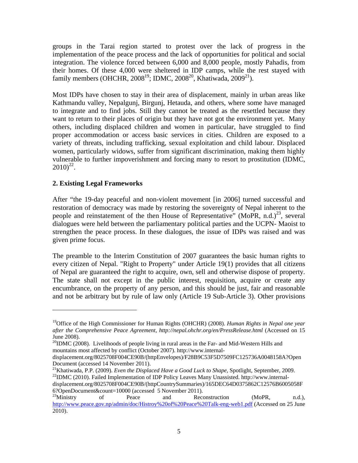groups in the Tarai region started to protest over the lack of progress in the implementation of the peace process and the lack of opportunities for political and social integration. The violence forced between 6,000 and 8,000 people, mostly Pahadis, from their homes. Of these 4,000 were sheltered in IDP camps, while the rest stayed with family members (OHCHR,  $2008^{19}$ ; IDMC,  $2008^{20}$ , Khatiwada,  $2009^{21}$ ).

Most IDPs have chosen to stay in their area of displacement, mainly in urban areas like Kathmandu valley, Nepalgunj, Birgunj, Hetauda, and others, where some have managed to integrate and to find jobs. Still they cannot be treated as the resettled because they want to return to their places of origin but they have not got the environment yet. Many others, including displaced children and women in particular, have struggled to find proper accommodation or access basic services in cities. Children are exposed to a variety of threats, including trafficking, sexual exploitation and child labour. Displaced women, particularly widows, suffer from significant discrimination, making them highly vulnerable to further impoverishment and forcing many to resort to prostitution (IDMC,  $2010)^{22}$ .

# **2. Existing Legal Frameworks**

l

After "the 19-day peaceful and non-violent movement [in 2006] turned successful and restoration of democracy was made by restoring the sovereignty of Nepal inherent to the people and reinstatement of the then House of Representative" (MoPR, n.d.)<sup>23</sup>, several dialogues were held between the parliamentary political parties and the UCPN- Maoist to strengthen the peace process. In these dialogues, the issue of IDPs was raised and was given prime focus.

The preamble to the Interim Constitution of 2007 guarantees the basic human rights to every citizen of Nepal. "Right to Property" under Article 19(1) provides that all citizens of Nepal are guaranteed the right to acquire, own, sell and otherwise dispose of property. The state shall not except in the public interest, requisition, acquire or create any encumbrance, on the property of any person, and this should be just, fair and reasonable and not be arbitrary but by rule of law only (Article 19 Sub-Article 3). Other provisions

<sup>19</sup>Office of the High Commissioner for Human Rights (OHCHR) (2008). *Human Rights in Nepal one year after the Comprehensive Peace Agreement, http://nepal.ohchr.org/en/PressRelease.html* (Accessed on 15 June 2008).

 $^{20}$ IDMC (2008). Livelihoods of people living in rural areas in the Far- and Mid-Western Hills and mountains most affected by conflict (October 2007). http://www.internal-

displacement.org/8025708F004CE90B/(httpEnvelopes)/F28B9C53F5D7509FC125736A0048158A?Open Document (accessed 14 November 2011).

<sup>&</sup>lt;sup>21</sup>Khatiwada, P.P. (2009). *Even the Displaced Have a Good Luck to Shape*, Spotlight, September, 2009.<br><sup>22</sup>IDMC (2010). Failed Implementation of IDP Policy Leaves Many Unassisted. http://www.internal-

displacement.org/8025708F004CE90B/(httpCountrySummaries)/165DEC64D0375862C12576B6005058F 6?OpenDocument&count=10000 (accessed 5 November 2011).<br><sup>23</sup>Ministry of Peace and Reconstruction (MoPR, n.d.),

http://www.peace.gov.np/admin/doc/Histroy%20of%20Peace%20Talk-eng-web1.pdf (Accessed on 25 June 2010).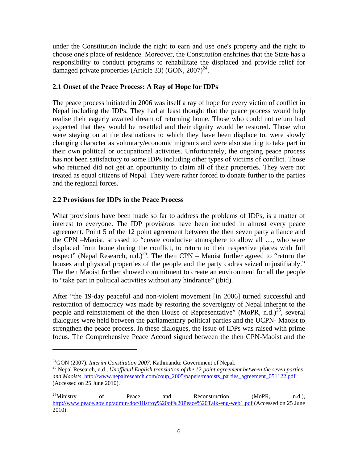under the Constitution include the right to earn and use one's property and the right to choose one's place of residence. Moreover, the Constitution enshrines that the State has a responsibility to conduct programs to rehabilitate the displaced and provide relief for damaged private properties (Article 33) (GON,  $2007<sup>24</sup>$ .

# **2.1 Onset of the Peace Process: A Ray of Hope for IDPs**

The peace process initiated in 2006 was itself a ray of hope for every victim of conflict in Nepal including the IDPs. They had at least thought that the peace process would help realise their eagerly awaited dream of returning home. Those who could not return had expected that they would be resettled and their dignity would be restored. Those who were staying on at the destinations to which they have been displace to, were slowly changing character as voluntary/economic migrants and were also starting to take part in their own political or occupational activities. Unfortunately, the ongoing peace process has not been satisfactory to some IDPs including other types of victims of conflict. Those who returned did not get an opportunity to claim all of their properties. They were not treated as equal citizens of Nepal. They were rather forced to donate further to the parties and the regional forces.

# **2.2 Provisions for IDPs in the Peace Process**

What provisions have been made so far to address the problems of IDPs, is a matter of interest to everyone. The IDP provisions have been included in almost every peace agreement. Point 5 of the 12 point agreement between the then seven party alliance and the CPN –Maoist, stressed to "create conducive atmosphere to allow all …, who were displaced from home during the conflict, to return to their respective places with full respect" (Nepal Research, n.d.)<sup>25</sup>. The then CPN – Maoist further agreed to "return the houses and physical properties of the people and the party cadres seized unjustifiably." The then Maoist further showed commitment to create an environment for all the people to "take part in political activities without any hindrance" (ibid).

After "the 19-day peaceful and non-violent movement [in 2006] turned successful and restoration of democracy was made by restoring the sovereignty of Nepal inherent to the people and reinstatement of the then House of Representative" (MoPR, n.d.)<sup>26</sup>, several dialogues were held between the parliamentary political parties and the UCPN- Maoist to strengthen the peace process. In these dialogues, the issue of IDPs was raised with prime focus. The Comprehensive Peace Accord signed between the then CPN-Maoist and the

l

<sup>&</sup>lt;sup>24</sup>GON (2007). *Interim Constitution 2007*. Kathmandu: Government of Nepal.<br><sup>25</sup> Nepal Research, n.d., *Unofficial English translation of the 12-point agreement between the seven parties and Maoists,* http://www.nepalresearch.com/coup\_2005/papers/maoists\_parties\_agreement\_051122.pdf (Accessed on 25 June 2010).

 $26$ Ministry of Peace and Reconstruction (MoPR, n.d.), http://www.peace.gov.np/admin/doc/Histroy%20of%20Peace%20Talk-eng-web1.pdf (Accessed on 25 June 2010).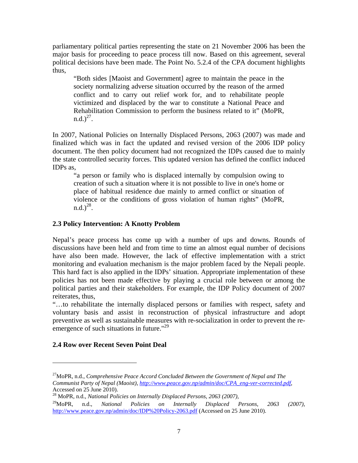parliamentary political parties representing the state on 21 November 2006 has been the major basis for proceeding to peace process till now. Based on this agreement, several political decisions have been made. The Point No. 5.2.4 of the CPA document highlights thus,

"Both sides [Maoist and Government] agree to maintain the peace in the society normalizing adverse situation occurred by the reason of the armed conflict and to carry out relief work for, and to rehabilitate people victimized and displaced by the war to constitute a National Peace and Rehabilitation Commission to perform the business related to it" (MoPR,  $n.d.$ )<sup>27</sup>.

In 2007, National Policies on Internally Displaced Persons, 2063 (2007) was made and finalized which was in fact the updated and revised version of the 2006 IDP policy document. The then policy document had not recognized the IDPs caused due to mainly the state controlled security forces. This updated version has defined the conflict induced IDPs as,

"a person or family who is displaced internally by compulsion owing to creation of such a situation where it is not possible to live in one's home or place of habitual residence due mainly to armed conflict or situation of violence or the conditions of gross violation of human rights" (MoPR,  $n.d.$ )<sup>28</sup>.

# **2.3 Policy Intervention: A Knotty Problem**

Nepal's peace process has come up with a number of ups and downs. Rounds of discussions have been held and from time to time an almost equal number of decisions have also been made. However, the lack of effective implementation with a strict monitoring and evaluation mechanism is the major problem faced by the Nepali people. This hard fact is also applied in the IDPs' situation. Appropriate implementation of these policies has not been made effective by playing a crucial role between or among the political parties and their stakeholders. For example, the IDP Policy document of 2007 reiterates, thus,

"…to rehabilitate the internally displaced persons or families with respect, safety and voluntary basis and assist in reconstruction of physical infrastructure and adopt preventive as well as sustainable measures with re-socialization in order to prevent the reemergence of such situations in future."<sup>29</sup>

# **2.4 Row over Recent Seven Point Deal**

 $\overline{a}$ 

<sup>27</sup>MoPR, n.d., *Comprehensive Peace Accord Concluded Between the Government of Nepal and The Communist Party of Nepal (Maoist), http://www.peace.gov.np/admin/doc/CPA\_eng-ver-corrected.pdf,*  Accessed on 25 June 2010).

<sup>28</sup> MoPR, n.d., *National Policies on Internally Displaced Persons, 2063 (2007),*

<sup>29</sup>MoPR, n.d., *National Policies on Internally Displaced Persons, 2063 (2007),*  http://www.peace.gov.np/admin/doc/IDP%20Policy-2063.pdf (Accessed on 25 June 2010).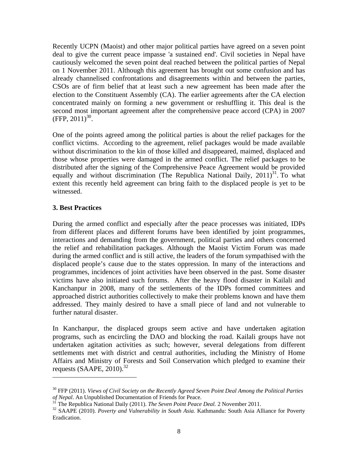Recently UCPN (Maoist) and other major political parties have agreed on a seven point deal to give the current peace impasse 'a sustained end'. Civil societies in Nepal have cautiously welcomed the seven point deal reached between the political parties of Nepal on 1 November 2011. Although this agreement has brought out some confusion and has already channelised confrontations and disagreements within and between the parties, CSOs are of firm belief that at least such a new agreement has been made after the election to the Constituent Assembly (CA). The earlier agreements after the CA election concentrated mainly on forming a new government or reshuffling it. This deal is the second most important agreement after the comprehensive peace accord (CPA) in 2007  $(FFP, 2011)^{30}$ .

One of the points agreed among the political parties is about the relief packages for the conflict victims. According to the agreement, relief packages would be made available without discrimination to the kin of those killed and disappeared, maimed, displaced and those whose properties were damaged in the armed conflict. The relief packages to be distributed after the signing of the Comprehensive Peace Agreement would be provided equally and without discrimination (The Republica National Daily,  $2011$ <sup>31</sup>. To what extent this recently held agreement can bring faith to the displaced people is yet to be witnessed.

# **3. Best Practices**

 $\overline{a}$ 

During the armed conflict and especially after the peace processes was initiated, IDPs from different places and different forums have been identified by joint programmes, interactions and demanding from the government, political parties and others concerned the relief and rehabilitation packages. Although the Maoist Victim Forum was made during the armed conflict and is still active, the leaders of the forum sympathised with the displaced people's cause due to the states oppression. In many of the interactions and programmes, incidences of joint activities have been observed in the past. Some disaster victims have also initiated such forums. After the heavy flood disaster in Kailali and Kanchanpur in 2008, many of the settlements of the IDPs formed committees and approached district authorities collectively to make their problems known and have them addressed. They mainly desired to have a small piece of land and not vulnerable to further natural disaster.

In Kanchanpur, the displaced groups seem active and have undertaken agitation programs, such as encircling the DAO and blocking the road. Kailali groups have not undertaken agitation activities as such; however, several delegations from different settlements met with district and central authorities, including the Ministry of Home Affairs and Ministry of Forests and Soil Conservation which pledged to examine their requests (SAAPE,  $2010$ ).<sup>32</sup>

<sup>30</sup> FFP (2011). *Views of Civil Society on the Recently Agreed Seven Point Deal Among the Political Parties*  of Nepal. An Unpublished Documentation of Friends for Peace.<br><sup>31</sup> The Republica National Daily (2011). *The Seven Point Peace Deal*. 2 November 2011.<br><sup>32</sup> SAAPE (2010). *Poverty and Vulnerability in South Asia*. Kathmandu:

Eradication.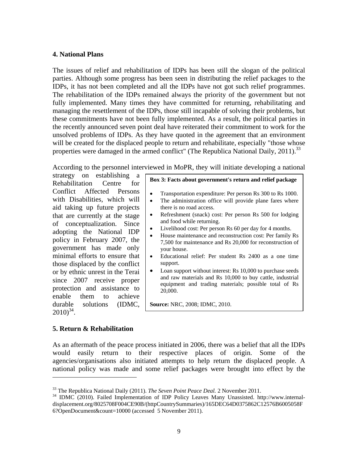#### **4. National Plans**

The issues of relief and rehabilitation of IDPs has been still the slogan of the political parties. Although some progress has been seen in distributing the relief packages to the IDPs, it has not been completed and all the IDPs have not got such relief programmes. The rehabilitation of the IDPs remained always the priority of the government but not fully implemented. Many times they have committed for returning, rehabilitating and managing the resettlement of the IDPs, those still incapable of solving their problems, but these commitments have not been fully implemented. As a result, the political parties in the recently announced seven point deal have reiterated their commitment to work for the unsolved problems of IDPs. As they have quoted in the agreement that an environment will be created for the displaced people to return and rehabilitate, especially "those whose properties were damaged in the armed conflict" (The Republica National Daily,  $2011$ ).<sup>33</sup>

According to the personnel interviewed in MoPR, they will initiate developing a national

strategy on establishing a Rehabilitation Centre for Conflict Affected Persons with Disabilities, which will aid taking up future projects that are currently at the stage of conceptualization. Since adopting the National IDP policy in February 2007, the government has made only minimal efforts to ensure that those displaced by the conflict or by ethnic unrest in the Terai since 2007 receive proper protection and assistance to enable them to achieve durable solutions (IDMC,  $2010^{34}$ .

| Transportation expenditure: Per person Rs 300 to Rs 1000.                                                                                                                        |
|----------------------------------------------------------------------------------------------------------------------------------------------------------------------------------|
| The administration office will provide plane fares where                                                                                                                         |
| there is no road access.                                                                                                                                                         |
| Refreshment (snack) cost: Per person Rs 500 for lodging<br>and food while returning.                                                                                             |
| Livelihood cost: Per person Rs 60 per day for 4 months.                                                                                                                          |
| House maintenance and reconstruction cost: Per family Rs                                                                                                                         |
| 7,500 for maintenance and Rs 20,000 for reconstruction of<br>your house.                                                                                                         |
| Educational relief: Per student Rs 2400 as a one time<br>support.                                                                                                                |
| Loan support without interest: Rs 10,000 to purchase seeds<br>and raw materials and Rs 10,000 to buy cattle, industrial<br>equipment and trading materials; possible total of Rs |

**Box 3: Facts about government's return and relief package** 

**Source:** NRC, 2008; IDMC, 2010.

20,000.

### **5. Return & Rehabilitation**

 $\overline{a}$ 

As an aftermath of the peace process initiated in 2006, there was a belief that all the IDPs would easily return to their respective places of origin. Some of the agencies/organisations also initiated attempts to help return the displaced people. A national policy was made and some relief packages were brought into effect by the

<sup>&</sup>lt;sup>33</sup> The Republica National Daily (2011). *The Seven Point Peace Deal*. 2 November 2011.<br><sup>34</sup> IDMC (2010). Failed Implementation of IDP Policy Leaves Many Unassisted. http://www.internaldisplacement.org/8025708F004CE90B/(httpCountrySummaries)/165DEC64D0375862C12576B6005058F 6?OpenDocument&count=10000 (accessed 5 November 2011).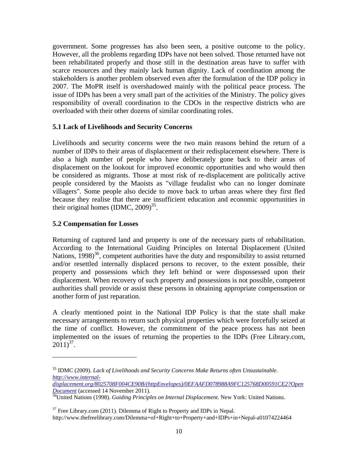government. Some progresses has also been seen, a positive outcome to the policy. However, all the problems regarding IDPs have not been solved. Those returned have not been rehabilitated properly and those still in the destination areas have to suffer with scarce resources and they mainly lack human dignity. Lack of coordination among the stakeholders is another problem observed even after the formulation of the IDP policy in 2007. The MoPR itself is overshadowed mainly with the political peace process. The issue of IDPs has been a very small part of the activities of the Ministry. The policy gives responsibility of overall coordination to the CDOs in the respective districts who are overloaded with their other dozens of similar coordinating roles.

# **5.1 Lack of Livelihoods and Security Concerns**

Livelihoods and security concerns were the two main reasons behind the return of a number of IDPs to their areas of displacement or their redisplacement elsewhere. There is also a high number of people who have deliberately gone back to their areas of displacement on the lookout for improved economic opportunities and who would then be considered as migrants. Those at most risk of re-displacement are politically active people considered by the Maoists as "village feudalist who can no longer dominate villagers". Some people also decide to move back to urban areas where they first fled because they realise that there are insufficient education and economic opportunities in their original homes  $(IDMC, 2009)^{35}$ .

# **5.2 Compensation for Losses**

 $\overline{a}$ 

Returning of captured land and property is one of the necessary parts of rehabilitation. According to the International Guiding Principles on Internal Displacement (United Nations, 1998)<sup>36</sup>, competent authorities have the duty and responsibility to assist returned and/or resettled internally displaced persons to recover, to the extent possible, their property and possessions which they left behind or were dispossessed upon their displacement. When recovery of such property and possessions is not possible, competent authorities shall provide or assist these persons in obtaining appropriate compensation or another form of just reparation.

A clearly mentioned point in the National IDP Policy is that the state shall make necessary arrangements to return such physical properties which were forcefully seized at the time of conflict. However, the commitment of the peace process has not been implemented on the issues of returning the properties to the IDPs (Free Library.com,  $2011)^{37}$ .

 $37$  Free Library.com (2011). Dilemma of Right to Property and IDPs in Nepal. http://www.thefreelibrary.com/Dilemma+of+Right+to+Property+and+IDPs+in+Nepal-a01074224464

<sup>35</sup> IDMC (2009). *Lack of Livelihoods and Security Concerns Make Returns often Unsustainable. http://www.internal-*

*displacement.org/8025708F004CE90B/(httpEnvelopes)/0EFAAFD078988A9FC125768D00591CE2?Open Document* (accessed 14 November 2011).<br><sup>36</sup>United Nations (1998). *Guiding Principles on Internal Displacement*. New York: United Nations.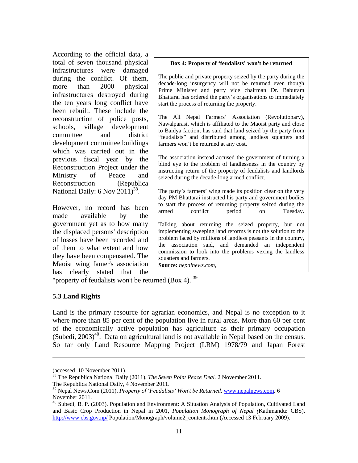According to the official data, a total of seven thousand physical infrastructures were damaged during the conflict. Of them, more than 2000 physical infrastructures destroyed during the ten years long conflict have been rebuilt. These include the reconstruction of police posts, schools, village development committee and district development committee buildings which was carried out in the previous fiscal year by the Reconstruction Project under the Ministry of Peace and Reconstruction (Republica National Daily:  $6$  Nov  $2011$ <sup>38</sup>.

However, no record has been made available by the government yet as to how many the displaced persons' description of losses have been recorded and of them to what extent and how they have been compensated. The Maoist wing famer's association has clearly stated that the

#### **Box 4: Property of 'feudalists' won't be returned**

The public and private property seized by the party during the decade-long insurgency will not be returned even though Prime Minister and party vice chairman Dr. Baburam Bhattarai has ordered the party's organisations to immediately start the process of returning the property.

The All Nepal Farmers' Association (Revolutionary), Nawalparasi, which is affiliated to the Maoist party and close to Baidya faction, has said that land seized by the party from "feudalists" and distributed among landless squatters and farmers won't be returned at any cost.

The association instead accused the government of turning a blind eye to the problem of landlessness in the country by instructing return of the property of feudalists and landlords seized during the decade-long armed conflict.

The party's farmers' wing made its position clear on the very day PM Bhattarai instructed his party and government bodies to start the process of returning property seized during the armed conflict period on Tuesday.

Talking about returning the seized property, but not implementing sweeping land reforms is not the solution to the problem faced by millions of landless peasants in the country, the association said, and demanded an independent commission to look into the problems vexing the landless squatters and farmers.

**Source:** *nepalnews.com,* 

"property of feudalists won't be returned (Box 4). 39

### **5.3 Land Rights**

 $\overline{a}$ 

Land is the primary resource for agrarian economics, and Nepal is no exception to it where more than 85 per cent of the population live in rural areas. More than 60 per cent of the economically active population has agriculture as their primary occupation  $(Subedi, 2003)$ <sup>40</sup>. Data on agricultural land is not available in Nepal based on the census. So far only Land Resource Mapping Project (LRM) 1978/79 and Japan Forest

<sup>(</sup>accessed 10 November 2011).

<sup>38</sup> The Republica National Daily (2011). *The Seven Point Peace Deal.* 2 November 2011.

The Republica National Daily, 4 November 2011.

<sup>&</sup>lt;sup>39</sup> Nepal News.Com (2011). *Property of 'Feudalists' Won't be Returned*. **www.nepalnews.com.** 6 November 2011.

<sup>&</sup>lt;sup>40</sup> Subedi, B. P. (2003). Population and Environment: A Situation Analysis of Population, Cultivated Land and Basic Crop Production in Nepal in 2001, *Population Monograph of Nepal (*Kathmandu: CBS), http://www.cbs.gov.np/ Population/Monograph/volume2\_contents.htm (Accessed 13 February 2009).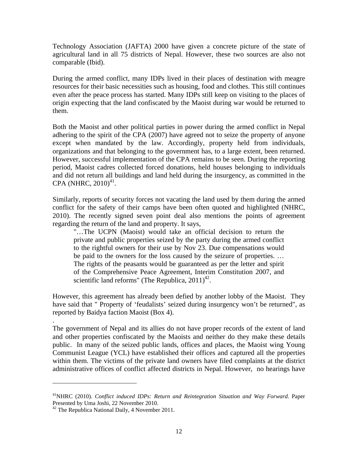Technology Association (JAFTA) 2000 have given a concrete picture of the state of agricultural land in all 75 districts of Nepal. However, these two sources are also not comparable (Ibid).

During the armed conflict, many IDPs lived in their places of destination with meagre resources for their basic necessities such as housing, food and clothes. This still continues even after the peace process has started. Many IDPs still keep on visiting to the places of origin expecting that the land confiscated by the Maoist during war would be returned to them.

Both the Maoist and other political parties in power during the armed conflict in Nepal adhering to the spirit of the CPA (2007) have agreed not to seize the property of anyone except when mandated by the law. Accordingly, property held from individuals, organizations and that belonging to the government has, to a large extent, been returned. However, successful implementation of the CPA remains to be seen. During the reporting period, Maoist cadres collected forced donations, held houses belonging to individuals and did not return all buildings and land held during the insurgency, as committed in the  $CPA$  (NHRC,  $2010)^{41}$ .

Similarly, reports of security forces not vacating the land used by them during the armed conflict for the safety of their camps have been often quoted and highlighted (NHRC, 2010). The recently signed seven point deal also mentions the points of agreement regarding the return of the land and property. It says,

"…The UCPN (Maoist) would take an official decision to return the private and public properties seized by the party during the armed conflict to the rightful owners for their use by Nov 23. Due compensations would be paid to the owners for the loss caused by the seizure of properties. … The rights of the peasants would be guaranteed as per the letter and spirit of the Comprehensive Peace Agreement, Interim Constitution 2007, and scientific land reforms" (The Republica,  $2011<sup>42</sup>$ .

However, this agreement has already been defied by another lobby of the Maoist. They have said that " Property of 'feudalists' seized during insurgency won't be returned", as reported by Baidya faction Maoist (Box 4).

The government of Nepal and its allies do not have proper records of the extent of land and other properties confiscated by the Maoists and neither do they make these details public. In many of the seized public lands, offices and places, the Maoist wing Young Communist League (YCL) have established their offices and captured all the properties within them. The victims of the private land owners have filed complaints at the district administrative offices of conflict affected districts in Nepal. However, no hearings have

.

 $\overline{a}$ 

<sup>&</sup>lt;sup>41</sup>NHRC (2010). *Conflict induced IDPs: Return and Reintegration Situation and Way Forward*. Paper Presented by Uma Joshi, 22 November 2010.

 $42$  The Republica National Daily, 4 November 2011.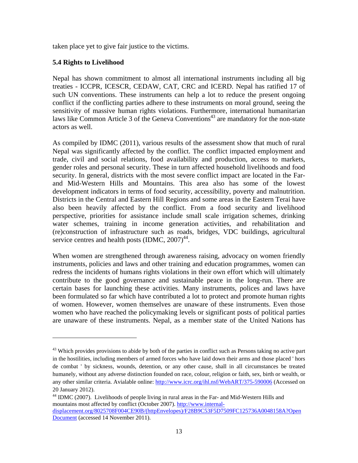taken place yet to give fair justice to the victims.

# **5.4 Rights to Livelihood**

 $\overline{a}$ 

Nepal has shown commitment to almost all international instruments including all big treaties - ICCPR, ICESCR, CEDAW, CAT, CRC and ICERD. Nepal has ratified 17 of such UN conventions. These instruments can help a lot to reduce the present ongoing conflict if the conflicting parties adhere to these instruments on moral ground, seeing the sensitivity of massive human rights violations. Furthermore, international humanitarian laws like Common Article 3 of the Geneva Conventions<sup>43</sup> are mandatory for the non-state actors as well.

As compiled by IDMC (2011), various results of the assessment show that much of rural Nepal was significantly affected by the conflict. The conflict impacted employment and trade, civil and social relations, food availability and production, access to markets, gender roles and personal security. These in turn affected household livelihoods and food security. In general, districts with the most severe conflict impact are located in the Farand Mid-Western Hills and Mountains. This area also has some of the lowest development indicators in terms of food security, accessibility, poverty and malnutrition. Districts in the Central and Eastern Hill Regions and some areas in the Eastern Terai have also been heavily affected by the conflict. From a food security and livelihood perspective, priorities for assistance include small scale irrigation schemes, drinking water schemes, training in income generation activities, and rehabilitation and (re)construction of infrastructure such as roads, bridges, VDC buildings, agricultural service centres and health posts  $(IDMC, 2007)^{44}$ .

When women are strengthened through awareness raising, advocacy on women friendly instruments, policies and laws and other training and education programmes, women can redress the incidents of humans rights violations in their own effort which will ultimately contribute to the good governance and sustainable peace in the long-run. There are certain bases for launching these activities. Many instruments, polices and laws have been formulated so far which have contributed a lot to protect and promote human rights of women. However, women themselves are unaware of these instruments. Even those women who have reached the policymaking levels or significant posts of political parties are unaware of these instruments. Nepal, as a member state of the United Nations has

<sup>&</sup>lt;sup>43</sup> Which provides provisions to abide by both of the parties in conflict such as Persons taking no active part in the hostilities, including members of armed forces who have laid down their arms and those placed ' hors de combat ' by sickness, wounds, detention, or any other cause, shall in all circumstances be treated humanely, without any adverse distinction founded on race, colour, religion or faith, sex, birth or wealth, or any other similar criteria. Avialable online: http://www.icrc.org/ihl.nsf/WebART/375-590006 (Accessed on 20 January 2012).

<sup>&</sup>lt;sup>44</sup> IDMC (2007). Livelihoods of people living in rural areas in the Far- and Mid-Western Hills and mountains most affected by conflict (October 2007). http://www.internaldisplacement.org/8025708F004CE90B/(httpEnvelopes)/F28B9C53F5D7509FC125736A0048158A?Open Document (accessed 14 November 2011).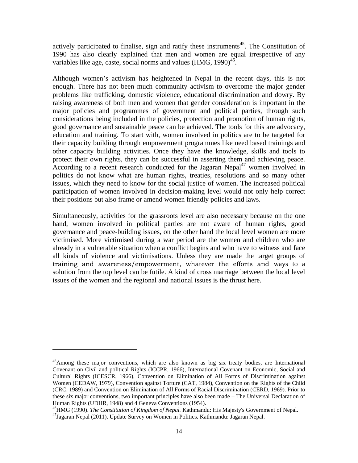actively participated to finalise, sign and ratify these instruments<sup>45</sup>. The Constitution of 1990 has also clearly explained that men and women are equal irrespective of any variables like age, caste, social norms and values (HMG, 1990)<sup>46</sup>.

Although women's activism has heightened in Nepal in the recent days, this is not enough. There has not been much community activism to overcome the major gender problems like trafficking, domestic violence, educational discrimination and dowry. By raising awareness of both men and women that gender consideration is important in the major policies and programmes of government and political parties, through such considerations being included in the policies, protection and promotion of human rights, good governance and sustainable peace can be achieved. The tools for this are advocacy, education and training. To start with, women involved in politics are to be targeted for their capacity building through empowerment programmes like need based trainings and other capacity building activities. Once they have the knowledge, skills and tools to protect their own rights, they can be successful in asserting them and achieving peace. According to a recent research conducted for the Jagaran Nepal<sup>47</sup> women involved in politics do not know what are human rights, treaties, resolutions and so many other issues, which they need to know for the social justice of women. The increased political participation of women involved in decision-making level would not only help correct their positions but also frame or amend women friendly policies and laws.

Simultaneously, activities for the grassroots level are also necessary because on the one hand, women involved in political parties are not aware of human rights, good governance and peace-building issues, on the other hand the local level women are more victimised. More victimised during a war period are the women and children who are already in a vulnerable situation when a conflict begins and who have to witness and face all kinds of violence and victimisations. Unless they are made the target groups of training and awareness/empowerment, whatever the efforts and ways to a solution from the top level can be futile. A kind of cross marriage between the local level issues of the women and the regional and national issues is the thrust here.

l

<sup>&</sup>lt;sup>45</sup>Among these major conventions, which are also known as big six treaty bodies, are International Covenant on Civil and political Rights (ICCPR, 1966), International Covenant on Economic, Social and Cultural Rights (ICESCR, 1966), Convention on Elimination of All Forms of Discrimination against Women (CEDAW, 1979), Convention against Torture (CAT, 1984), Convention on the Rights of the Child (CRC, 1989) and Convention on Elimination of All Forms of Racial Discrimination (CERD, 1969). Prior to these six major conventions, two important principles have also been made – The Universal Declaration of Human Rights (UDHR, 1948) and 4 Geneva Conventions (1954).

<sup>&</sup>lt;sup>46</sup>HMG (1990). *The Constitution of Kingdom of Nepal*. Kathmandu: His Majesty's Government of Nepal.<br><sup>47</sup>Jagaran Nepal (2011). Update Survey on Women in Politics. Kathmandu: Jagaran Nepal.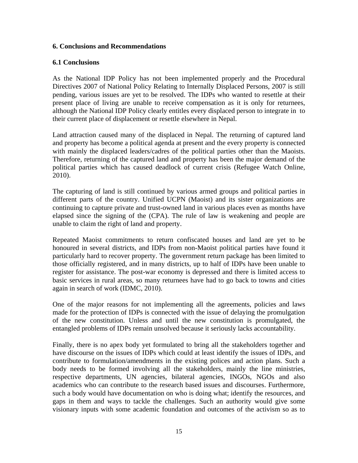### **6. Conclusions and Recommendations**

### **6.1 Conclusions**

As the National IDP Policy has not been implemented properly and the Procedural Directives 2007 of National Policy Relating to Internally Displaced Persons, 2007 is still pending, various issues are yet to be resolved. The IDPs who wanted to resettle at their present place of living are unable to receive compensation as it is only for returnees, although the National IDP Policy clearly entitles every displaced person to integrate in to their current place of displacement or resettle elsewhere in Nepal.

Land attraction caused many of the displaced in Nepal. The returning of captured land and property has become a political agenda at present and the every property is connected with mainly the displaced leaders/cadres of the political parties other than the Maoists. Therefore, returning of the captured land and property has been the major demand of the political parties which has caused deadlock of current crisis (Refugee Watch Online, 2010).

The capturing of land is still continued by various armed groups and political parties in different parts of the country. Unified UCPN (Maoist) and its sister organizations are continuing to capture private and trust-owned land in various places even as months have elapsed since the signing of the (CPA). The rule of law is weakening and people are unable to claim the right of land and property.

Repeated Maoist commitments to return confiscated houses and land are yet to be honoured in several districts, and IDPs from non-Maoist political parties have found it particularly hard to recover property. The government return package has been limited to those officially registered, and in many districts, up to half of IDPs have been unable to register for assistance. The post-war economy is depressed and there is limited access to basic services in rural areas, so many returnees have had to go back to towns and cities again in search of work (IDMC, 2010).

One of the major reasons for not implementing all the agreements, policies and laws made for the protection of IDPs is connected with the issue of delaying the promulgation of the new constitution. Unless and until the new constitution is promulgated, the entangled problems of IDPs remain unsolved because it seriously lacks accountability.

Finally, there is no apex body yet formulated to bring all the stakeholders together and have discourse on the issues of IDPs which could at least identify the issues of IDPs, and contribute to formulation/amendments in the existing polices and action plans. Such a body needs to be formed involving all the stakeholders, mainly the line ministries, respective departments, UN agencies, bilateral agencies, INGOs, NGOs and also academics who can contribute to the research based issues and discourses. Furthermore, such a body would have documentation on who is doing what; identify the resources, and gaps in them and ways to tackle the challenges. Such an authority would give some visionary inputs with some academic foundation and outcomes of the activism so as to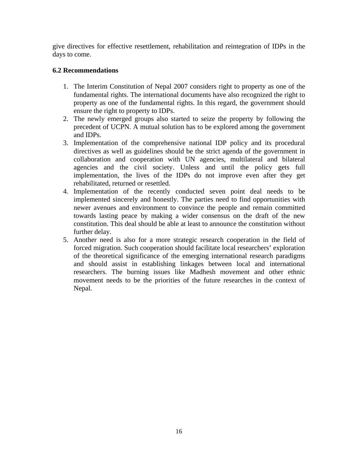give directives for effective resettlement, rehabilitation and reintegration of IDPs in the days to come.

# **6.2 Recommendations**

- 1. The Interim Constitution of Nepal 2007 considers right to property as one of the fundamental rights. The international documents have also recognized the right to property as one of the fundamental rights. In this regard, the government should ensure the right to property to IDPs.
- 2. The newly emerged groups also started to seize the property by following the precedent of UCPN. A mutual solution has to be explored among the government and IDPs.
- 3. Implementation of the comprehensive national IDP policy and its procedural directives as well as guidelines should be the strict agenda of the government in collaboration and cooperation with UN agencies, multilateral and bilateral agencies and the civil society. Unless and until the policy gets full implementation, the lives of the IDPs do not improve even after they get rehabilitated, returned or resettled.
- 4. Implementation of the recently conducted seven point deal needs to be implemented sincerely and honestly. The parties need to find opportunities with newer avenues and environment to convince the people and remain committed towards lasting peace by making a wider consensus on the draft of the new constitution. This deal should be able at least to announce the constitution without further delay.
- 5. Another need is also for a more strategic research cooperation in the field of forced migration. Such cooperation should facilitate local researchers' exploration of the theoretical significance of the emerging international research paradigms and should assist in establishing linkages between local and international researchers. The burning issues like Madhesh movement and other ethnic movement needs to be the priorities of the future researches in the context of Nepal.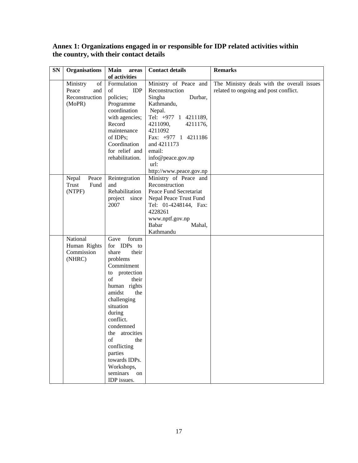**Annex 1: Organizations engaged in or responsible for IDP related activities within the country, with their contact details** 

| <b>SN</b> | <b>Organisations</b>                                       | <b>Main</b><br>areas                                                                                                                                                                                                                                                                                                                  | <b>Contact details</b>                                                                                                                                                                                                                                  | <b>Remarks</b>                                                                      |
|-----------|------------------------------------------------------------|---------------------------------------------------------------------------------------------------------------------------------------------------------------------------------------------------------------------------------------------------------------------------------------------------------------------------------------|---------------------------------------------------------------------------------------------------------------------------------------------------------------------------------------------------------------------------------------------------------|-------------------------------------------------------------------------------------|
|           |                                                            | of activities                                                                                                                                                                                                                                                                                                                         |                                                                                                                                                                                                                                                         |                                                                                     |
|           | Ministry<br>of<br>Peace<br>and<br>Reconstruction<br>(MoPR) | Formulation<br><b>IDP</b><br>of<br>policies;<br>Programme<br>coordination<br>with agencies;<br>Record<br>maintenance<br>of IDPs;<br>Coordination<br>for relief and<br>rehabilitation.                                                                                                                                                 | Ministry of Peace and<br>Reconstruction<br>Durbar,<br>Singha<br>Kathmandu,<br>Nepal.<br>Tel: +977 1 4211189,<br>4211090,<br>4211176,<br>4211092<br>Fax: +977 1 4211186<br>and 4211173<br>email:<br>info@peace.gov.np<br>url:<br>http://www.peace.gov.np | The Ministry deals with the overall issues<br>related to ongoing and post conflict. |
|           | Nepal<br>Peace<br>Fund<br>Trust<br>(NTPF)                  | Reintegration<br>and<br>Rehabilitation<br>project since<br>2007                                                                                                                                                                                                                                                                       | Ministry of Peace and<br>Reconstruction<br>Peace Fund Secretariat<br>Nepal Peace Trust Fund<br>Tel: 01-4248144, Fax:<br>4228261<br>www.nptf.gov.np<br>Babar<br>Mahal,<br>Kathmandu                                                                      |                                                                                     |
|           | National<br>Human Rights<br>Commission<br>(NHRC)           | forum<br>Gave<br>for IDPs to<br>their<br>share<br>problems<br>Commitment<br>protection<br>to<br>of<br>their<br>human rights<br>amidst<br>the<br>challenging<br>situation<br>during<br>conflict.<br>condemned<br>the atrocities<br>of<br>the<br>conflicting<br>parties<br>towards IDPs.<br>Workshops,<br>seminars<br>on<br>IDP issues. |                                                                                                                                                                                                                                                         |                                                                                     |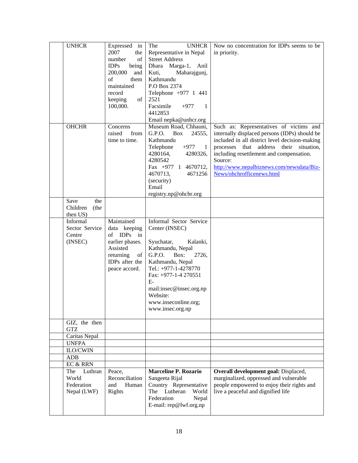| <b>UNHCR</b>     | Expressed in         | The<br><b>UNHCR</b>                           | Now no concentration for IDPs seems to be      |
|------------------|----------------------|-----------------------------------------------|------------------------------------------------|
|                  | 2007<br>the          | Representative in Nepal                       | in priority.                                   |
|                  | of<br>number         | <b>Street Address</b>                         |                                                |
|                  | <b>IDPs</b><br>being | Dhara Marga-1, Anil                           |                                                |
|                  | 200,000<br>and       | Maharajgunj,<br>Kuti,                         |                                                |
|                  | of<br>them           | Kathmandu                                     |                                                |
|                  | maintained           | P.O Box 2374                                  |                                                |
|                  | record               | Telephone +977 1 441                          |                                                |
|                  | keeping<br>of        | 2521                                          |                                                |
|                  | 100,000.             | Facsimile<br>$+977$<br>-1                     |                                                |
|                  |                      | 4412853<br>Email nepka@unhcr.org              |                                                |
| <b>OHCHR</b>     | Concerns             | Museum Road, Chhauni,                         | Such as: Representatives of victims and        |
|                  | raised<br>from       | G.P.O.<br>Box<br>24555,                       | internally displaced persons (IDPs) should be  |
|                  | time to time.        | Kathmandu                                     | included in all district level decision-making |
|                  |                      | Telephone<br>$+977$<br>-1                     | processes that address their situation,        |
|                  |                      | 4280164,<br>4280326,                          | including resettlement and compensation.       |
|                  |                      | 4280542                                       | Source:                                        |
|                  |                      | Fax $+977$ 1 4670712,                         | http://www.nepalbiznews.com/newsdata/Biz-      |
|                  |                      | 4670713,<br>4671256                           | News/ohchrofficenews.html                      |
|                  |                      | (security)                                    |                                                |
|                  |                      | Email                                         |                                                |
|                  |                      | registry.np@ohchr.org                         |                                                |
| Save<br>the      |                      |                                               |                                                |
| Children<br>(the |                      |                                               |                                                |
| then US)         |                      |                                               |                                                |
| Informal         | Maintained           | Informal Sector Service                       |                                                |
| Sector Service   | data keeping         | Center (INSEC)                                |                                                |
| Centre           | of IDPs<br>in        |                                               |                                                |
| (INSEC)          | earlier phases.      | Syuchatar,<br>Kalanki,                        |                                                |
|                  | Assisted             | Kathmandu, Nepal                              |                                                |
|                  | returning<br>of      | G.P.O.<br>Box:<br>2726,                       |                                                |
|                  | IDPs after the       | Kathmandu, Nepal                              |                                                |
|                  | peace accord.        | Tel.: +977-1-4278770                          |                                                |
|                  |                      | Fax: +977-1-4 270551                          |                                                |
|                  |                      | $E-$                                          |                                                |
|                  |                      |                                               |                                                |
|                  |                      | mail:insec@insec.org.np                       |                                                |
|                  |                      | Website:                                      |                                                |
|                  |                      | www.inseconline.org;                          |                                                |
|                  |                      | www.insec.org.np                              |                                                |
| GIZ, the then    |                      |                                               |                                                |
| <b>GTZ</b>       |                      |                                               |                                                |
| Caritas Nepal    |                      |                                               |                                                |
| <b>UNFPA</b>     |                      |                                               |                                                |
| <b>ILO/CWIN</b>  |                      |                                               |                                                |
| <b>ADB</b>       |                      |                                               |                                                |
|                  |                      |                                               |                                                |
| EC & RRN         |                      |                                               |                                                |
| The<br>Luthran   |                      | <b>Marceline P. Rozario</b>                   |                                                |
|                  | Peace,               |                                               | Overall development goal: Displaced,           |
| World            | Reconciliation       | Sangeeta Rijal                                | marginalized, oppressed and vulnerable         |
| Federation       | Human<br>and         | Country Representative                        | people empowered to enjoy their rights and     |
| Nepal (LWF)      | Rights               | The Lutheran<br>World                         | live a peaceful and dignified life             |
|                  |                      | Federation<br>Nepal<br>E-mail: rep@lwf.org.np |                                                |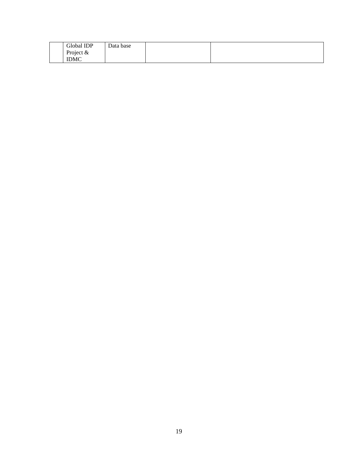| Global IDP  | Data base |  |
|-------------|-----------|--|
| Project $&$ |           |  |
| <b>IDMC</b> |           |  |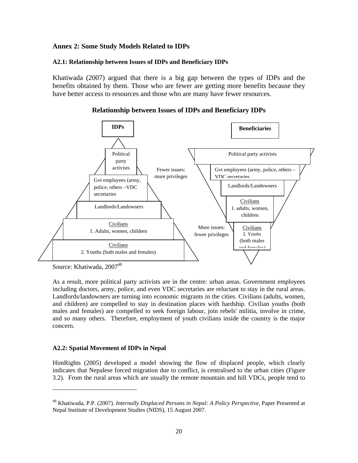# **Annex 2: Some Study Models Related to IDPs**

#### **A2.1: Relationship between Issues of IDPs and Beneficiary IDPs**

Khatiwada (2007) argued that there is a big gap between the types of IDPs and the benefits obtained by them. Those who are fewer are getting more benefits because they have better access to resources and those who are many have fewer resources.



#### **Relationship between Issues of IDPs and Beneficiary IDPs**

Source: Khatiwada, 2007<sup>48</sup>

l

As a result, more political party activists are in the centre: urban areas. Government employees including doctors, army, police, and even VDC secretaries are reluctant to stay in the rural areas. Landlords/landowners are turning into economic migrants in the cities. Civilians (adults, women, and children) are compelled to stay in destination places with hardship. Civilian youths (both males and females) are compelled to seek foreign labour, join rebels' militia, involve in crime, and so many others. Therefore, employment of youth civilians inside the country is the major concern.

### **A2.2: Spatial Movement of IDPs in Nepal**

HimRights (2005) developed a model showing the flow of displaced people, which clearly indicates that Nepalese forced migration due to conflict, is centralised to the urban cities (Figure 3.2). From the rural areas which are usually the remote mountain and hill VDCs, people tend to

<sup>48</sup> Khatiwada, P.P. (2007). *Internally Displaced Persons in Nepal: A Policy Perspective,* Paper Presented at Nepal Institute of Development Studies (NIDS), 15 August 2007.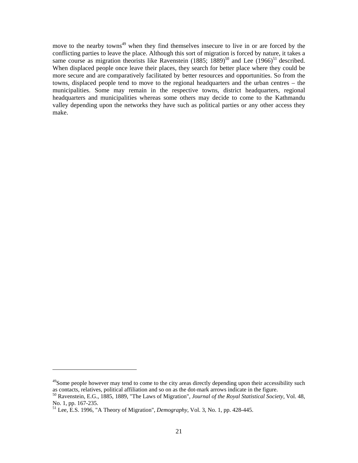move to the nearby towns<sup> $49$ </sup> when they find themselves insecure to live in or are forced by the conflicting parties to leave the place. Although this sort of migration is forced by nature, it takes a same course as migration theorists like Ravenstein  $(1885; 1889)^{50}$  and Lee  $(1966)^{51}$  described. When displaced people once leave their places, they search for better place where they could be more secure and are comparatively facilitated by better resources and opportunities. So from the towns, displaced people tend to move to the regional headquarters and the urban centres – the municipalities. Some may remain in the respective towns, district headquarters, regional headquarters and municipalities whereas some others may decide to come to the Kathmandu valley depending upon the networks they have such as political parties or any other access they make.

1

<sup>&</sup>lt;sup>49</sup>Some people however may tend to come to the city areas directly depending upon their accessibility such as contacts, relatives, political affiliation and so on as the dot-mark arrows indicate in the figure.

<sup>50</sup> Ravenstein, E.G., 1885, 1889, "The Laws of Migration", *Journal of the Royal Statistical Society,* Vol. 48, No. 1, pp. 167-235.

<sup>51</sup> Lee, E.S. 1996, "A Theory of Migration", *Demography,* Vol. 3, No. 1, pp. 428-445.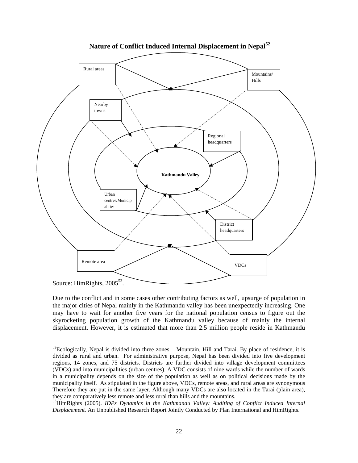

 **Nature of Conflict Induced Internal Displacement in Nepal<sup>52</sup>**

l

Due to the conflict and in some cases other contributing factors as well, upsurge of population in the major cities of Nepal mainly in the Kathmandu valley has been unexpectedly increasing. One may have to wait for another five years for the national population census to figure out the skyrocketing population growth of the Kathmandu valley because of mainly the internal displacement. However, it is estimated that more than 2.5 million people reside in Kathmandu

Source: HimRights, 2005<sup>53</sup>.

 $52$ Ecologically, Nepal is divided into three zones – Mountain, Hill and Tarai. By place of residence, it is divided as rural and urban. For administrative purpose, Nepal has been divided into five development regions, 14 zones, and 75 districts. Districts are further divided into village development committees (VDCs) and into municipalities (urban centres). A VDC consists of nine wards while the number of wards in a municipality depends on the size of the population as well as on political decisions made by the municipality itself. As stipulated in the figure above, VDCs, remote areas, and rural areas are synonymous Therefore they are put in the same layer. Although many VDCs are also located in the Tarai (plain area), they are comparatively less remote and less rural than hills and the mountains.

<sup>53</sup>HimRights (2005). *IDPs Dynamics in the Kathmandu Valley: Auditing of Conflict Induced Internal Displacement.* An Unpublished Research Report Jointly Conducted by Plan International and HimRights.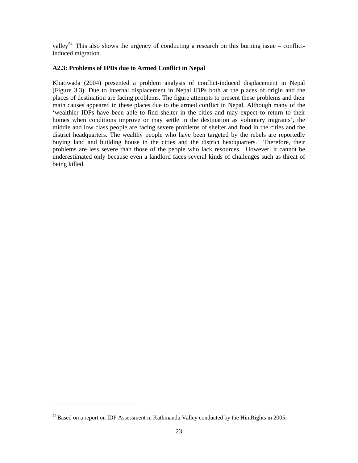valley<sup>54.</sup> This also shows the urgency of conducting a research on this burning issue – conflictinduced migration.

#### **A2.3: Problems of IPDs due to Armed Conflict in Nepal**

Khatiwada (2004) presented a problem analysis of conflict-induced displacement in Nepal (Figure 3.3). Due to internal displacement in Nepal IDPs both at the places of origin and the places of destination are facing problems. The figure attempts to present these problems and their main causes appeared in these places due to the armed conflict in Nepal. Although many of the 'wealthier IDPs have been able to find shelter in the cities and may expect to return to their homes when conditions improve or may settle in the destination as voluntary migrants', the middle and low class people are facing severe problems of shelter and food in the cities and the district headquarters. The wealthy people who have been targeted by the rebels are reportedly buying land and building house in the cities and the district headquarters. Therefore, their problems are less severe than those of the people who lack resources. However, it cannot be underestimated only because even a landlord faces several kinds of challenges such as threat of being killed.

1

<sup>&</sup>lt;sup>54</sup> Based on a report on IDP Assessment in Kathmandu Valley conducted by the HimRights in 2005.